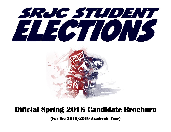



### **Official Spring 2018 Candidate Brochure**

**(For the 2018/2019 Academic Year)**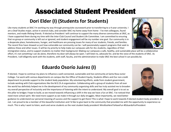# **Associated Student President**

### **Dori Elder (I) (Students for Students)**

Like many students at SRJC I'm working my way through prerequisite coursework prior to transferring to a 4-year university. I am a Deaf Studies major, active in several clubs, and consider SRJC my home away from home - I've met colleagues, found mentors, and made lifelong friends. If elected as President I will continue to support the many diverse communities at SRJC, as I have supported them during my time with the Inter-Club Council and Student Life Committee. I am committed to ensuring that no group or community is left out or ignored, and student engagement will be my number one goal. Our community is in a desperate place; homelessness, hunger, and healthcare are pressing issues for many of our students, friends, and families. The recent fires have showed us just how vulnerable our community can be. I will passionately support programs that seek to address these and other issues. It will be my priority to help make our campuses safe for ALL students, regardless of their



immigration status, and to support students no matter their background. Making our campuses a safe, healthy, and sustainable place will be a collaborative effort, it's not something I can do alone, therefore my door will always be open. I will listen to, advocate for, and be the voice of the students of SRJC. As President, I will diligently work with the students, with staff, faculty, and the administration to make SRJC the best school it can possibly be.

#### **Eduardo Osorío Juárez (I)**

If elected, I hope to continue my plans to influence a well-connected, sustainable and live community at Santa Rosa Junior College. I've work with various departments on campus like the Office of Student Equity, Students Affairs and Our non-credit department to provide support to the student body population. My volunteering efforts, aside from student government, include working with Club organizations like the M.E.Ch.A organization. Collaborating with a group of students from all over the world has definitely helped me in the development of my community organizing skills and has truly assisted me to broaden my overall perspective of inclusivity and the importance of listening with the intent to understand. My overall goal is to act as the pillar to bridges I hope to build, as we moved towards influencing a shift in the way we have a fun at SRJC. I've noticed that need more school spirit. We need more support as we make it through our daily struggles. Most importantly, we need better



guidance to understand our personal meaning of success and the support to get there! This is what I hope to work towards if elected student body president, or not. I am proud to be a member of this beautiful institution and I'd like to give back to the community that provided me with the opportunity to experience so much. This is why I want to listen, work and serve students as the next student body president! #ImAlsoHereToHaveFun #EduardoForPresident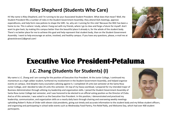### **Riley Shepherd (Students Who Care)**

Hi! My name is Riley Shepherd, and I'm running to be your Associated Student President. What does that mean? Well, the Student President fills a number of roles in the Student Government Assembly; they attend SGA meetings, approve expenditures, and help form new policies to shape the SJRC. So, why am I running for this role? Because the SRJC has been a home to me. This is where I study, where I hang out with my friends, where I go to class and forge a future for myself. And I want to give back, by making this campus better than the beautiful place it already is, for the whole of the student body. There's no better place for me to achieve this goal and help represent that student body, than on the Student Government Assembly. I want to help encourage an active, involved, and healthy campus. If you have any questions, please, e-mail me at glowstickrave12@gmail.com!



## **Executive Vice President-Petaluma**

### **J.C. Zhang (Students for Students) (I)**

My name is J.C. Zhang and I am running for the position of Executive Vice President. At the Junior College, I continued my momentum as a high caliber student, furthered my involvement in the Student Government Assembly, and helped organize events on campus. And despite many counselors advising against it, I completed 19 units last semester at the Santa Rosa Junior College, and I decided to take 24 units this semester. On top of my heavy workload, I prepared for my intended major of Business Administration through utilizing my leadership and organization skills. I joined the Student Government Assembly of Santa Rosa Junior College last semester, and I was honored to be elected to an official voting position as the Director of Clubs. And as of this semester, I was voted in as the Executive Vice President. In this position, I demonstrated and practiced my leadership, communication, and organization skills on a nearly daily basis through chairing and overseeing weekly meetings



upholding Robert's Rules of Order with eleven club presidents, giving out timely and accurate information to the student body and my fellow student officers, and organizing and participating in school wide events such as Wednesday Food Pantry, Fire Relief Rally, and Welcome Day, which had over 400 student participants.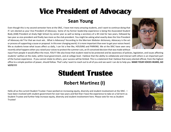# **Vice President of Advocacy**

#### **Sean Young**

Even though this is my second semester here at the SRJC, I have met many amazing students, and I want to continue doing that if I am elected as your Vice President of Advocacy. Some of my former leadership experience is being the Associated Student Body (ASB) President at Analy High School my senior year as well as being a secretary of a 4H club for two years, followed by two year as vice-president and finally two more as the club president. You might be asking what exactly does the Vice President of Advocacy do? For that we must ask… What is Advocacy? According to the Merriam Webster dictionary, Advocacy is the act or process of supporting a cause or proposal. In this ever changing world, it is more important than ever to get your voices heard. We as students know what issues affect us daily, I can list a few like, HOUSING and PARKING. We at the SRJC have seen very recently what happens when you raised your voices to protest the summer cuts, an ill-conceived decision that was made without

input from people it would affect the most, YOU!!! We also know that student need to be protected and be awareness of policies, legislation, and issues affecting students' welfare at the state, within local government, and at college level. I believe that the ability to collaborate and interact with others is an important part of the human experience. If you cannot relate to others, your success will be limited. This is a statement that I believe that every elected official, from the highest office to a simple position of power, should follow. That's why I want to reach out to all of you and see want I can do to help you. **MAKE YOUR VOICES HEARD, GO VOTE!!!!!**

## **Student Trustee**

### **Robert Martinez (I)**

Hello all as the current Student Trustee I have worked on increasing equity, diversity and student involvement at the SRJC. I have been involved with student government for over two years and feel that I have the experience to take on a full term as Student Trustee and further help increase equity, diversity and student involvement here. Please vote for me as Student **Trustee!** 

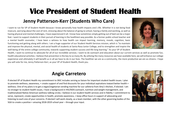# **Vice President of Student Health**

#### **Jenny Patterson-Kerr (Students Who Care)**

I want to run for VP of Student Health because I know personally how health impacts one's life. Whether it is not being food insecure, worrying about the cost of rent, stressing about the balance of going to school, having a family and working, as well as having physical and mental challenges, I have experienced it all. I know how sometimes simply getting out of bed can be a major feat. I want to support students in their pursuit of learning in the healthiest way possible. As a former public school teacher and a mental health counselor, I have been a witness to how health can impact learning, memory, moods, cognition, basic functioning and getting along with others. I am a huge supporter of our Student Health Services mission, which is "to maintain and improve the physical, mental, and social health of students at Santa Rosa Junior College, and to strengthen and inspire the well-being of the entire college community, towards supporting student success and life-long learning." As your VP of Student



Health, I want to continue to advocate for all of our incredible services. I want to do outreach and education about our current services as well as promote fun, health educational activities. I believe that prevention is the key to so many ills. By utilizing the many resources we have available here, we will enhance our college experience and ultimately it will benefit us in all we have to do in our lives. The healthier we are as a community, the more productive we are as citizens. I hope you will vote for me, Jenny Patterson-Kerr, as your VP of Student Health, thank you.

#### **Angie Carretero**

If elected VP of Student Health my commitment to SRJC includes serving as liaison for important student health issues. I plan to promote wellness, awareness, + create support of and find discounts for your individual aspirations toward better health + wellness. One of my plans is to get a vegan/vegetarian vending machine for our cafeteria from Amy's Kitchen, if elected. I am no stranger to student health issues, I have a background in HIV/AIDS outreach, nutrition and weight management, and traditionalized Native American wellness talking circles. I believe in our student health services and in fidelity + commitment to serve, represent, create opportunities in health, promote awareness, + keep office hours in support of advocating and listening to each one of your concerns. If elected I will work closely, as a team member, with the other governing bodies of the SGA to create a positive + amazing 2018-2019 school year – through your input.

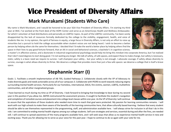# **Vice President of Diversity Affairs**

#### **Mark Murakami (Students Who Care)**

My name is Mark Murakami, and I would be honored to be your SGA Vice President of Diversity Affairs. I'm starting my third year at SRJC; I've worked at the front desk of the HOPE Center and serve as an AmeriCorps Health and Wellness Ambassador, for which I volunteer at food distributions and personally on LGBTQ+ topics. As part of the LGBTQ+ community, I've been sorely disappointed by the lack of resources formally dedicated by the college to the visibility, engagement, health, and voice of students like me. In my opinion, the spirit of fairness in equity, a large focus in Diversity Affairs, is not only an effort to raise up minorities but a pursuit to hold the college accountable when student voices are not being heard. I wish to become a better person by helping others do the same for themselves. I decided that I'd make the world a better place by helping others find the space in their lives to pay good fortune forward, that an AA in social and behavioral sciences, a bachelor's in cognitive science,



a master's in affective science, and a doctorate in industrial-organizational psychology would help me bring this mindset into corporate America, but I've realized that I don't need degrees to start doing good. I'm not waiting any longer. We talk of safety, of safe spaces, and expect these to make change, but safety is necessary, static; safety is a basic need we require to survive. I will champion your safety... but your safety is not enough. I advocate courage; if safety allows diversity to survive, courage is what allows diversity to thrive. We deserve a college that provides more than just a few safe spaces: we deserve a college that is itself a brave space.

### **Stephannie Starr (I)**

Goals: 1. Facilitate a smooth implementation of AB 705, Guided Pathways 2. Collaborate closely with the VP of Advocacy to make diversity goals and needs actionable across all of our campuses 3. Collaborate with PEERS to work towards reducing stigma surrounding mental health services. Particularly for our homeless, international, DACA, fire victims, women, LGBTQ, multiethnic communities, and all other marginalized groups.

I have learned so much during my time as VP of Diversity. I look forward to bringing that knowledge to bear during my second year in this position if you allow me. AB705 restructured the assessment process. It sought to facilitate the student's navigation and completion of remedial courses and placement into college level classes within one year. As the VP of Diversity I will continue

to assure that the aspirations of those students who needed more time to reach that goal were protected. My passion for learning communities remains. I will work with our high schools to make them aware of the benefits of the learning communities here, that allow culturally based learning. I believe that every student should be able to see themselves represented in the programming, staff, and administration available here. I will always strive for inclusion in all that I do in this role. I am committed to ending mental health stigmas among our college students. Self care strategies and services, essential during and after the fires, are needed still. I will continue to spread awareness of the many programs available here, and I will seek ways that allow us to experience mental health service in new and exciting ways. Thank you for allowing me to serve as your voice for this past year. I hope to continue to do so again with your vote for me.

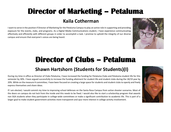# **Director of Marketing – Petaluma**

#### **Kaila Cotherman**

I want to serve in the position if Director of Marketing for the Petaluma Campus to play an active role in supporting and providing exposure for the events, clubs, and programs. As a Digital Media Communications student, I have experience communicating effectively and efficiently with different groups in order to accomplish a task. I promise to uphold the integrity of our diverse campus and ensure that everyone's voices are being heard.



## **Director of Clubs – Petaluma**

### **Shawn Hartshorn (Students for Students)(I)**

During my time in office as Director of Clubs Petaluma, I have increased the funding for Petaluma Clubs and Petaluma student life for this semester by 30%. I have argued successfully to increase the funding allotment for student life and student clubs during the 18/19 year by 20%. While on the measure H committee, I have been focused on creating a large space for students and student clubs to openly and freely express themselves and share ideas.

If I am elected, I would commit my time to improving school defenses on the Santa Rosa Campus from active shooter scenarios. Most of the doors on campus do not lock from the inside and this needs to be fixed. I would also like to start a scholarship program that awards non SGA students when they participate in college-wide committees or make a significant contribution to academic life. This is part of a larger goal to make student government activities more transparent and spur more interest in college activity involvement.

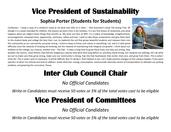# **Vice President of Sustainability**

#### **Sophia Porter (Students for Students)**

Confession - I keep a copy of a children's book at my desk and refer to it often -- Shel Siverstein's book The Giving Tree. All though it is a book intended for children, the lessons we learn from it are timeless. It is our first lesson of reciprocity and what happens when we neglect those things that nourish us. My roots are here at SRJC. It is a place of knowledge, enlightenment, encouragement, empowerment, opportunity, sanctuary, safety and love. I wish to take those components and give them back to the student body and college the best that I can, to replenish the soil that grows beautiful students and releases them into this community so our community can grow strong. I strive to keep to these core values in everything I do, and it is with great difficulty since the rewards of straying are enticing, but the rewards of maintaining that integrity are greater. I think about our emblem at the college, our mascot, another tree - The Oak - it takes a long time to grow these trees, but they are strong, they



weather the storms, resist flames, they fed the indigenous cultures that were here long before us, and they stand strong. Our students are oaklings, let's do what we can to make sure they grow strong, make sure our community is strong, Tap into that heartwood, that center, that core, and grow from there. This is what I strive for. This is what I wish to represent. It will be difficult. But I'm doing it. And I believe in you. Let's make positive changes on this campus happen. If you want specifics of what I've noticed and wish to address: waste diversion, energy consumption, need provide alternate means of transportation to alleviate our parking problem, and greening the curriculum. Peace.

# **Inter Club Council Chair**

*No Official Candidates* 

*Write-in Candidates must receive 50 votes or 5% of the total votes cast to be eligible*

## **Vice President of Committees**

*No Official Candidates* 

*Write-in Candidates must receive 50 votes or 5% of the total votes cast to be eligible*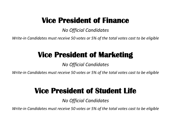## **Vice President of Finance**

*No Official Candidates* 

*Write-in Candidates must receive 50 votes or 5% of the total votes cast to be eligible*

# **Vice President of Marketing**

*No Official Candidates* 

*Write-in Candidates must receive 50 votes or 5% of the total votes cast to be eligible*

## **Vice President of Student Life**

*No Official Candidates* 

*Write-in Candidates must receive 50 votes or 5% of the total votes cast to be eligible*